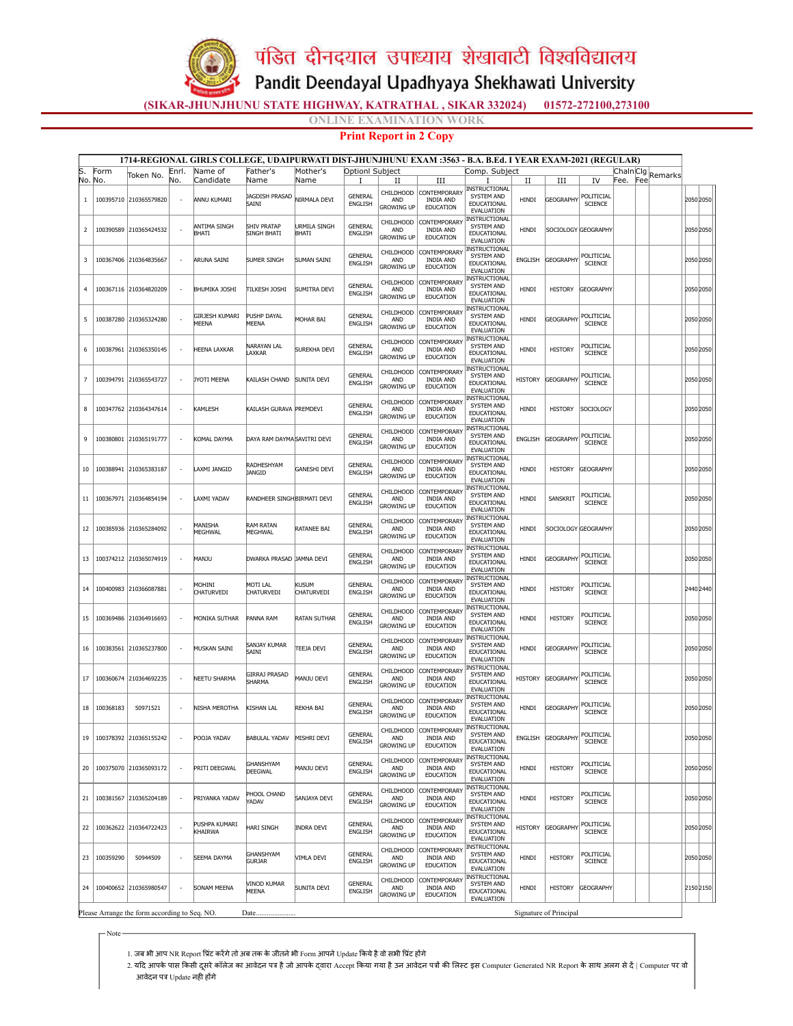पंडित दीनदयाल उपाध्याय शेखावाटी विश्वविद्यालय

Pandit Deendayal Upadhyaya Shekhawati University

(SIKAR-JHUNJHUNU STATE HIGHWAY, KATRATHAL , SIKAR 332024) 01572-272100,273100

*NE EXAMINATION WORK* 

## Print Report in 2 Copy

| Form<br>No. No. | Token No.              | Enrl.                                                                                                                                                                                                                                                                                                                                                          | Name of                        | Father's                                                                                                                                                                                     | Mother's            | Optionl Subject                                                                                                                                                                                                                                                                                                      |                                              |                                                           |                                                                                  |                                                                                                                                                                                                                                                                                                                                                                                                                                |                       |                                                                                                                                                                                  |                                            |                        |         |             |                                                                                                                                                                                                                                                                                                         |
|-----------------|------------------------|----------------------------------------------------------------------------------------------------------------------------------------------------------------------------------------------------------------------------------------------------------------------------------------------------------------------------------------------------------------|--------------------------------|----------------------------------------------------------------------------------------------------------------------------------------------------------------------------------------------|---------------------|----------------------------------------------------------------------------------------------------------------------------------------------------------------------------------------------------------------------------------------------------------------------------------------------------------------------|----------------------------------------------|-----------------------------------------------------------|----------------------------------------------------------------------------------|--------------------------------------------------------------------------------------------------------------------------------------------------------------------------------------------------------------------------------------------------------------------------------------------------------------------------------------------------------------------------------------------------------------------------------|-----------------------|----------------------------------------------------------------------------------------------------------------------------------------------------------------------------------|--------------------------------------------|------------------------|---------|-------------|---------------------------------------------------------------------------------------------------------------------------------------------------------------------------------------------------------------------------------------------------------------------------------------------------------|
|                 |                        |                                                                                                                                                                                                                                                                                                                                                                | Candidate                      | Name                                                                                                                                                                                         | Name                |                                                                                                                                                                                                                                                                                                                      |                                              |                                                           | Comp. Subject                                                                    |                                                                                                                                                                                                                                                                                                                                                                                                                                |                       | IV                                                                                                                                                                               | Chaln Clg<br>Fee.                          | Fee                    | Remarks |             |                                                                                                                                                                                                                                                                                                         |
|                 | 100395710 210365579820 | No.<br>$\overline{\phantom{a}}$                                                                                                                                                                                                                                                                                                                                | ANNU KUMARI                    | JAGDISH PRASAD<br>SAINI                                                                                                                                                                      | NIRMALA DEVI        | Ι.<br><b>GENERAL</b><br>ENGLISH                                                                                                                                                                                                                                                                                      | П<br>CHILDHOOD<br>AND<br>Growing up          | Ш<br>CONTEMPORARY<br><b>INDIA AND</b><br><b>EDUCATION</b> | 1<br>INSTRUCTIONAL<br>SYSTEM AND<br>EDUCATIONAL<br>EVALUATION                    | П<br>HINDI                                                                                                                                                                                                                                                                                                                                                                                                                     | Ш<br><b>GEOGRAPHY</b> | POLITICIAL<br><b>SCIENCE</b>                                                                                                                                                     |                                            |                        |         | 2050 2050 l |                                                                                                                                                                                                                                                                                                         |
|                 |                        |                                                                                                                                                                                                                                                                                                                                                                | ANTIMA SINGH<br><b>BHATT</b>   | <b>SHIV PRATAP</b><br><b>SINGH BHATI</b>                                                                                                                                                     | URMILA SINGH        | <b>GENERAL</b><br>ENGLISH                                                                                                                                                                                                                                                                                            | CHILDHOOD<br>AND<br><b>GROWING UP</b>        | CONTEMPORARY<br><b>INDIA AND</b><br><b>EDUCATION</b>      | INSTRUCTIONAL<br>SYSTEM AND<br>EDUCATIONAL                                       | HINDI                                                                                                                                                                                                                                                                                                                                                                                                                          |                       |                                                                                                                                                                                  |                                            |                        |         |             |                                                                                                                                                                                                                                                                                                         |
| 100367406       | 210364835667           | ÷                                                                                                                                                                                                                                                                                                                                                              | ARUNA SAINI                    | SUMER SINGH                                                                                                                                                                                  |                     | <b>GENERAL</b><br>ENGLISH                                                                                                                                                                                                                                                                                            | CHILDHOOD<br>AND<br><b>GROWING UP</b>        | CONTEMPORARY<br><b>INDIA AND</b><br><b>EDUCATION</b>      | <b>INSTRUCTIONAL</b><br>SYSTEM AND<br>EDUCATIONAL<br>EVALUATION                  | <b>ENGLISH</b>                                                                                                                                                                                                                                                                                                                                                                                                                 |                       | POLITICIAL<br><b>SCIENCE</b>                                                                                                                                                     |                                            |                        |         |             |                                                                                                                                                                                                                                                                                                         |
| 100367116       |                        | $\overline{\phantom{a}}$                                                                                                                                                                                                                                                                                                                                       |                                | <b>TILKESH JOSHI</b>                                                                                                                                                                         |                     | <b>GENERAL</b><br>ENGLISH                                                                                                                                                                                                                                                                                            | CHILDHOOD<br>AND<br><b>GROWING UP</b>        | CONTEMPORARY<br><b>INDIA AND</b><br><b>EDUCATION</b>      | <b>INSTRUCTIONAL</b><br>SYSTEM AND<br>EDUCATIONAL<br>EVALUATION                  | HINDI                                                                                                                                                                                                                                                                                                                                                                                                                          | <b>HISTORY</b>        | <b>GEOGRAPHY</b>                                                                                                                                                                 |                                            |                        |         |             |                                                                                                                                                                                                                                                                                                         |
|                 |                        | $\overline{\phantom{a}}$                                                                                                                                                                                                                                                                                                                                       | GIRJESH KUMARI<br><b>MFFNA</b> | PUSHP DAYAL<br>MEENA                                                                                                                                                                         | MOHAR BAI           | GENERAL<br>ENGLISH                                                                                                                                                                                                                                                                                                   | CHILDHOOD<br>AND<br><b>GROWING UP</b>        | CONTEMPORARY<br><b>INDIA AND</b><br><b>EDUCATION</b>      | INSTRUCTIONAL<br>SYSTEM AND<br>EDUCATIONAL<br><b>EVALUATION</b>                  | HINDI                                                                                                                                                                                                                                                                                                                                                                                                                          | <b>GEOGRAPHY</b>      | POLITICIAL<br><b>SCIENCE</b>                                                                                                                                                     |                                            |                        |         |             |                                                                                                                                                                                                                                                                                                         |
| 100387961       | 210365350145           | ÷                                                                                                                                                                                                                                                                                                                                                              | HEENA LAXKAR                   | NARAYAN LAL<br>LAXKAR                                                                                                                                                                        | SUREKHA DEVI        | <b>GENERAL</b><br>ENGLISH                                                                                                                                                                                                                                                                                            | CHILDHOOD<br>AND<br><b>GROWING UP</b>        | CONTEMPORARY<br><b>INDIA AND</b><br>EDUCATION             | SYSTEM AND<br>EDUCATIONAL<br>EVALUATION                                          | HINDI                                                                                                                                                                                                                                                                                                                                                                                                                          | <b>HISTORY</b>        | POLITICIAL<br><b>SCIENCE</b>                                                                                                                                                     |                                            |                        |         |             |                                                                                                                                                                                                                                                                                                         |
|                 |                        | $\overline{\phantom{a}}$                                                                                                                                                                                                                                                                                                                                       |                                | KAILASH CHAND                                                                                                                                                                                |                     | <b>GENERAL</b><br>ENGLISH                                                                                                                                                                                                                                                                                            | CHILDHOOD<br>AND<br><b>GROWING UP</b>        | CONTEMPORARY<br><b>INDIA AND</b><br><b>EDUCATION</b>      | SYSTEM AND<br>EDUCATIONAL<br>EVALUATION                                          | <b>HISTORY</b>                                                                                                                                                                                                                                                                                                                                                                                                                 |                       | POLITICIAL<br><b>SCIENCE</b>                                                                                                                                                     |                                            |                        |         |             |                                                                                                                                                                                                                                                                                                         |
|                 |                        | ٠                                                                                                                                                                                                                                                                                                                                                              |                                |                                                                                                                                                                                              |                     | GENERAL<br>ENGLISH                                                                                                                                                                                                                                                                                                   | <b>CHILDHOOD</b><br>AND<br><b>GROWING UP</b> | <b>CONTEMPORARY</b><br><b>INDIA AND</b><br>EDUCATION      | INSTRUCTIONAL<br>SYSTEM AND<br>EDUCATIONAL<br>EVALUATION                         | HINDI                                                                                                                                                                                                                                                                                                                                                                                                                          | <b>HISTORY</b>        | SOCIOLOGY                                                                                                                                                                        |                                            |                        |         |             |                                                                                                                                                                                                                                                                                                         |
|                 |                        |                                                                                                                                                                                                                                                                                                                                                                | KOMAL DAYMA                    |                                                                                                                                                                                              |                     | <b>GENERAL</b><br>ENGLISH                                                                                                                                                                                                                                                                                            | CHILDHOOD<br>AND<br><b>GROWING UP</b>        | CONTEMPORARY<br><b>INDIA AND</b><br><b>EDUCATION</b>      | SYSTEM AND<br>EDUCATIONAL<br>EVALUATION                                          | ENGLISH                                                                                                                                                                                                                                                                                                                                                                                                                        |                       | POLITICIAL<br><b>SCIENCE</b>                                                                                                                                                     |                                            |                        |         |             |                                                                                                                                                                                                                                                                                                         |
| 100388941       | 210365383187           | $\overline{\phantom{a}}$                                                                                                                                                                                                                                                                                                                                       | LAXMI JANGID                   | RADHESHYAM<br><b>JANGID</b>                                                                                                                                                                  | <b>GANESHI DEVI</b> | GENERAL<br>ENGLISH                                                                                                                                                                                                                                                                                                   | <b>CHILDHOOD</b><br>AND<br><b>GROWING UP</b> | CONTEMPORARY<br><b>INDIA AND</b><br><b>EDUCATION</b>      | SYSTEM AND<br>EDUCATIONAL<br>EVALUATION                                          | HINDI                                                                                                                                                                                                                                                                                                                                                                                                                          | <b>HISTORY</b>        | <b>GEOGRAPHY</b>                                                                                                                                                                 |                                            |                        |         |             |                                                                                                                                                                                                                                                                                                         |
| 100367971       | 210364854194           | ×                                                                                                                                                                                                                                                                                                                                                              | LAXMI YADAV                    |                                                                                                                                                                                              |                     | <b>GENERAL</b><br>ENGLISH                                                                                                                                                                                                                                                                                            | CHILDHOOD<br>AND<br><b>GROWING UP</b>        | CONTEMPORARY<br><b>INDIA AND</b><br>EDUCATION             | <b>SYSTEM AND</b><br>EDUCATIONAL<br>EVALUATION                                   | HINDI                                                                                                                                                                                                                                                                                                                                                                                                                          | SANSKRIT              | POLITICIAL<br><b>SCIENCE</b>                                                                                                                                                     |                                            |                        |         |             |                                                                                                                                                                                                                                                                                                         |
|                 |                        |                                                                                                                                                                                                                                                                                                                                                                | MANISHA<br>MEGHWAL             | <b>RAM RATAN</b><br>MEGHWAL                                                                                                                                                                  |                     | <b>GENERAL</b><br>ENGLISH                                                                                                                                                                                                                                                                                            | CHILDHOOD<br>AND<br><b>GROWING UP</b>        | CONTEMPORARY<br><b>INDIA AND</b><br><b>EDUCATION</b>      | SYSTEM AND<br>EDUCATIONAL<br>EVALUATION                                          | HINDI                                                                                                                                                                                                                                                                                                                                                                                                                          |                       |                                                                                                                                                                                  |                                            |                        |         |             |                                                                                                                                                                                                                                                                                                         |
|                 |                        | $\overline{\phantom{a}}$                                                                                                                                                                                                                                                                                                                                       | MANJU                          |                                                                                                                                                                                              |                     | <b>GENERAL</b><br><b>ENGLISH</b>                                                                                                                                                                                                                                                                                     | <b>CHILDHOOD</b><br>AND<br><b>GROWING UP</b> | CONTEMPORARY<br><b>INDIA AND</b><br><b>EDUCATION</b>      | SYSTEM AND<br>EDUCATIONAL<br>EVALUATION                                          | HINDI                                                                                                                                                                                                                                                                                                                                                                                                                          |                       | POLITICIAL<br><b>SCIENCE</b>                                                                                                                                                     |                                            |                        |         |             |                                                                                                                                                                                                                                                                                                         |
|                 |                        |                                                                                                                                                                                                                                                                                                                                                                | MOHINI<br>CHATURVEDI           | MOTI LAL<br>CHATURVEDI                                                                                                                                                                       | Kusum<br>CHATURVEDI | <b>GENERAL</b><br>ENGLISH                                                                                                                                                                                                                                                                                            | CHILDHOOD<br>AND<br>Growing Up               | CONTEMPORARY<br><b>INDIA AND</b><br><b>EDUCATION</b>      | <b>SYSTEM AND</b><br>EDUCATIONAL<br>EVALUATION                                   | HINDI                                                                                                                                                                                                                                                                                                                                                                                                                          | <b>HISTORY</b>        | POLITICIAL<br><b>SCIENCE</b>                                                                                                                                                     |                                            |                        |         |             |                                                                                                                                                                                                                                                                                                         |
|                 |                        | ٠                                                                                                                                                                                                                                                                                                                                                              |                                | PANNA RAM                                                                                                                                                                                    |                     | <b>GENERAL</b><br>ENGLISH                                                                                                                                                                                                                                                                                            | CHILDHOOD<br>AND<br><b>GROWING UP</b>        | CONTEMPORARY<br><b>INDIA AND</b><br><b>EDUCATION</b>      | SYSTEM AND<br>EDUCATIONAL<br><b>EVALUATION</b>                                   | HINDI                                                                                                                                                                                                                                                                                                                                                                                                                          | <b>HISTORY</b>        | POLITICIAL<br><b>SCIENCE</b>                                                                                                                                                     |                                            |                        |         |             |                                                                                                                                                                                                                                                                                                         |
| 100383561       | 210365237800           |                                                                                                                                                                                                                                                                                                                                                                | MUSKAN SAINI                   | SANJAY KUMAR<br>SAINI                                                                                                                                                                        | TEEJA DEVI          | <b>GENERAL</b><br>ENGLISH                                                                                                                                                                                                                                                                                            | CHILDHOOD<br>AND<br><b>GROWING UP</b>        | CONTEMPORARY<br><b>INDIA AND</b><br><b>EDUCATION</b>      | SYSTEM AND<br>EDUCATIONAL<br>EVALUATION                                          | HINDI                                                                                                                                                                                                                                                                                                                                                                                                                          |                       | POLITICIAL<br>SCIENCE                                                                                                                                                            |                                            |                        |         |             |                                                                                                                                                                                                                                                                                                         |
| 100360674       | 210364692235           | $\overline{\phantom{a}}$                                                                                                                                                                                                                                                                                                                                       | <b>NEETU SHARMA</b>            | <b>GIRRAJ PRASAD</b><br><b>SHARMA</b>                                                                                                                                                        | MANJU DEVI          | <b>GENERAL</b><br>ENGLISH                                                                                                                                                                                                                                                                                            | CHILDHOOD<br>AND<br><b>GROWING UP</b>        | CONTEMPORARY<br><b>INDIA AND</b><br><b>EDUCATION</b>      | SYSTEM AND<br>EDUCATIONAL<br>EVALUATION                                          | <b>HISTORY</b>                                                                                                                                                                                                                                                                                                                                                                                                                 |                       | POLITICIAL<br><b>SCIENCE</b>                                                                                                                                                     |                                            |                        |         |             |                                                                                                                                                                                                                                                                                                         |
| 100368183       | 50971521               | ٠                                                                                                                                                                                                                                                                                                                                                              |                                | <b>KISHAN LAL</b>                                                                                                                                                                            | REKHA BAI           | GENERAL<br>ENGLISH                                                                                                                                                                                                                                                                                                   | CHILDHOOD<br><b>AND</b><br><b>GROWING UP</b> | CONTEMPORARY<br><b>INDIA AND</b><br>EDUCATION             | SYSTEM AND<br>EDUCATIONAL<br><b>EVALUATION</b>                                   | HINDI                                                                                                                                                                                                                                                                                                                                                                                                                          |                       | POLITICIAL<br><b>SCIENCE</b>                                                                                                                                                     |                                            |                        |         |             |                                                                                                                                                                                                                                                                                                         |
|                 |                        |                                                                                                                                                                                                                                                                                                                                                                |                                | <b>BABULAL YADAV</b>                                                                                                                                                                         |                     | <b>GENERAL</b><br>ENGLISH                                                                                                                                                                                                                                                                                            | AND<br><b>GROWING UP</b>                     | <b>INDIA AND</b><br><b>EDUCATION</b>                      | SYSTEM AND<br>EDUCATIONAL<br>EVALUATION                                          | ENGLISH                                                                                                                                                                                                                                                                                                                                                                                                                        |                       | POI ITICIAL<br><b>SCIENCE</b>                                                                                                                                                    |                                            |                        |         |             |                                                                                                                                                                                                                                                                                                         |
|                 |                        | $\overline{\phantom{a}}$                                                                                                                                                                                                                                                                                                                                       |                                | <b>GHANSHYAM</b><br>DEEGWAL                                                                                                                                                                  | MANJU DEVI          | <b>GENERAL</b><br>ENGLISH                                                                                                                                                                                                                                                                                            | CHILDHOOD<br>AND<br><b>GROWING UP</b>        | CONTEMPORARY<br><b>INDIA AND</b><br><b>EDUCATION</b>      | SYSTEM AND<br>EDUCATIONAL<br>EVALUATION                                          | HINDI                                                                                                                                                                                                                                                                                                                                                                                                                          | <b>HISTORY</b>        | POLITICIAL<br><b>SCIENCE</b>                                                                                                                                                     |                                            |                        |         |             |                                                                                                                                                                                                                                                                                                         |
|                 |                        | $\overline{\phantom{a}}$                                                                                                                                                                                                                                                                                                                                       |                                | PHOOL CHAND<br>YADAV                                                                                                                                                                         |                     | <b>GENERAL</b><br>ENGLISH                                                                                                                                                                                                                                                                                            | CHILDHOOD<br>AND<br><b>GROWING UP</b>        | <b>CONTEMPORARY</b><br><b>INDIA AND</b><br>EDUCATION      | SYSTEM AND<br>EDUCATIONAL<br>EVALUATION                                          | HINDI                                                                                                                                                                                                                                                                                                                                                                                                                          | <b>HISTORY</b>        | POLITICIAL<br><b>SCIENCE</b>                                                                                                                                                     |                                            |                        |         |             |                                                                                                                                                                                                                                                                                                         |
|                 |                        | $\overline{\phantom{a}}$                                                                                                                                                                                                                                                                                                                                       | PUSHPA KUMARI<br>KHAIRWA       | <b>HARI SINGH</b>                                                                                                                                                                            |                     | <b>GENERAL</b><br>ENGLISH                                                                                                                                                                                                                                                                                            | CHILDHOOD<br>AND<br><b>GROWING UP</b>        | CONTEMPORARY<br><b>INDIA AND</b><br><b>EDUCATION</b>      | SYSTEM AND<br>EDUCATIONAL<br>EVALUATION                                          | <b>HISTORY</b>                                                                                                                                                                                                                                                                                                                                                                                                                 |                       | POLITICIAL<br><b>SCIENCE</b>                                                                                                                                                     |                                            |                        |         |             |                                                                                                                                                                                                                                                                                                         |
| 100359290       | 50944509               | $\overline{\phantom{a}}$                                                                                                                                                                                                                                                                                                                                       |                                | <b>GHANSHYAM</b><br><b>GURJAR</b>                                                                                                                                                            | VIMLA DEVI          | GENERAL<br>ENGLISH                                                                                                                                                                                                                                                                                                   | CHILDHOOD<br>AND<br><b>GROWING UP</b>        | CONTEMPORARY<br><b>INDIA AND</b><br><b>EDUCATION</b>      | SYSTEM AND<br>EDUCATIONAL<br><b>EVALUATION</b>                                   | HINDI                                                                                                                                                                                                                                                                                                                                                                                                                          | <b>HISTORY</b>        | POLITICIAL<br><b>SCIENCE</b>                                                                                                                                                     |                                            |                        |         |             |                                                                                                                                                                                                                                                                                                         |
|                 |                        | $\overline{\phantom{a}}$                                                                                                                                                                                                                                                                                                                                       |                                | VINOD KUMAR<br>MEENA                                                                                                                                                                         |                     | <b>GENERAL</b><br>ENGLISH                                                                                                                                                                                                                                                                                            | CHILDHOOD<br>AND<br><b>GROWING UP</b>        | CONTEMPORARY<br><b>INDIA AND</b><br>EDUCATION             | SYSTEM AND<br>EDUCATIONAL<br>EVALUATION                                          | HINDI                                                                                                                                                                                                                                                                                                                                                                                                                          | <b>HISTORY</b>        | <b>GEOGRAPHY</b>                                                                                                                                                                 |                                            |                        |         |             |                                                                                                                                                                                                                                                                                                         |
|                 |                        | 100390589 210365424532<br>210364820209<br>100387280 210365324280<br>100394791 210365543727<br>100347762 210364347614<br>100380801 210365191777<br>100385936 210365284092<br>100374212 210365074919<br>100400983 210366087881<br>100369486 210364916693<br>100375070 210365093172<br>100381567 210365204189<br>100362622 210364722423<br>100400652 210365980547 | 100378392   210365155242       | <b>BHUMIKA JOSHI</b><br><b>JYOTI MEENA</b><br>KAMLESH<br><b>MONIKA SUTHAR</b><br>NISHA MEROTHA<br>POOJA YADAV<br>PRITI DEEGWAL<br>PRIYANKA YADAV<br><b>SEEMA DAYMA</b><br><b>SONAM MEENA</b> |                     | BHATI<br><b>SUMAN SAINI</b><br><b>SUMITRA DEVI</b><br><b>SUNITA DEVI</b><br>KAILASH GURAVA PREMDEVI<br>DAYA RAM DAYMA SAVITRI DEVI<br>RANDHEER SINGH BIRMATI DEVI<br>RATANEE BAI<br>DWARKA PRASAD JAMNA DEVI<br><b>RATAN SUTHAR</b><br><b>MISHRI DEVI</b><br>SANJAYA DEVI<br><b>INDRA DEVI</b><br><b>SUNITA DEVI</b> |                                              |                                                           | CHILDHOOD CONTEMPORARY<br>Please Arrange the form according to Seq. NO.<br>Date. | <b>EVALUATION</b><br><b>INSTRUCTIONAL</b><br><b>INSTRUCTIONAL</b><br><b>INSTRUCTIONAL</b><br>INSTRUCTIONAL<br><b>INSTRUCTIONAL</b><br>INSTRUCTIONAL<br><b>INSTRUCTIONAL</b><br><b>INSTRUCTIONAL</b><br>INSTRUCTIONAL<br><b>INSTRUCTIONAL</b><br><b>INSTRUCTIONAL</b><br>INSTRUCTIONAL<br><b>INSTRUCTIONAL</b><br><b>INSTRUCTIONAL</b><br>INSTRUCTIONAL<br><b>INSTRUCTIONAL</b><br><b>INSTRUCTIONAL</b><br><b>INSTRUCTIONAL</b> |                       | <b>GEOGRAPHY</b><br><b>GEOGRAPHY</b><br><b>GEOGRAPHY</b><br><b>GEOGRAPHY</b><br><b>GEOGRAPHY</b><br><b>GEOGRAPHY</b><br><b>GEOGRAPHY</b><br><b>GEOGRAPHY</b><br><b>GEOGRAPHY</b> | SOCIOLOGY GEOGRAPHY<br>SOCIOLOGY GEOGRAPHY | Signature of Principal |         |             | 2050 2050<br>2050 2050<br>2050 2050<br>2050 2050<br>2050 2050<br>2050 2050<br>2050 2050<br>2050 2050<br>2050 2050<br>2050 2050<br>2050 2050<br>2050 2050<br>2440 2440<br>2050 2050<br>2050 2050<br>2050 2050<br>2050 2050<br>2050 2050<br>2050 2050<br>2050 2050<br>2050 2050<br>2050 2050<br>2150 2150 |

1. जब भी आप NR Report प्रिंट करेंगे तो अब तक के जीतने भी Form आपने Update किये है वो सभी प्रिंट होंगे

Note

2. यदि आपके पास किसी दूसदू रे कॉलेज का आवेदन पत्र है जो आपके द्वारा Accept किया गया है उन आवेदन पत्रों की लिस्ट इस Computer Generated NR Report के साथ अलग से दें | Computer पर वो आवेदन पत्र Update नही होंगे